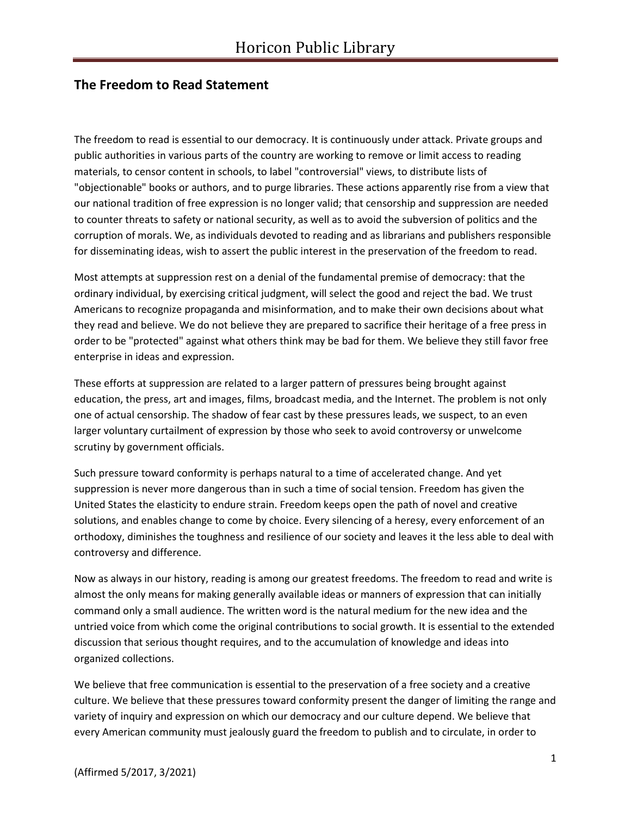## **The Freedom to Read Statement**

The freedom to read is essential to our democracy. It is continuously under attack. Private groups and public authorities in various parts of the country are working to remove or limit access to reading materials, to censor content in schools, to label "controversial" views, to distribute lists of "objectionable" books or authors, and to purge libraries. These actions apparently rise from a view that our national tradition of free expression is no longer valid; that censorship and suppression are needed to counter threats to safety or national security, as well as to avoid the subversion of politics and the corruption of morals. We, as individuals devoted to reading and as librarians and publishers responsible for disseminating ideas, wish to assert the public interest in the preservation of the freedom to read.

Most attempts at suppression rest on a denial of the fundamental premise of democracy: that the ordinary individual, by exercising critical judgment, will select the good and reject the bad. We trust Americans to recognize propaganda and misinformation, and to make their own decisions about what they read and believe. We do not believe they are prepared to sacrifice their heritage of a free press in order to be "protected" against what others think may be bad for them. We believe they still favor free enterprise in ideas and expression.

These efforts at suppression are related to a larger pattern of pressures being brought against education, the press, art and images, films, broadcast media, and the Internet. The problem is not only one of actual censorship. The shadow of fear cast by these pressures leads, we suspect, to an even larger voluntary curtailment of expression by those who seek to avoid controversy or unwelcome scrutiny by government officials.

Such pressure toward conformity is perhaps natural to a time of accelerated change. And yet suppression is never more dangerous than in such a time of social tension. Freedom has given the United States the elasticity to endure strain. Freedom keeps open the path of novel and creative solutions, and enables change to come by choice. Every silencing of a heresy, every enforcement of an orthodoxy, diminishes the toughness and resilience of our society and leaves it the less able to deal with controversy and difference.

Now as always in our history, reading is among our greatest freedoms. The freedom to read and write is almost the only means for making generally available ideas or manners of expression that can initially command only a small audience. The written word is the natural medium for the new idea and the untried voice from which come the original contributions to social growth. It is essential to the extended discussion that serious thought requires, and to the accumulation of knowledge and ideas into organized collections.

We believe that free communication is essential to the preservation of a free society and a creative culture. We believe that these pressures toward conformity present the danger of limiting the range and variety of inquiry and expression on which our democracy and our culture depend. We believe that every American community must jealously guard the freedom to publish and to circulate, in order to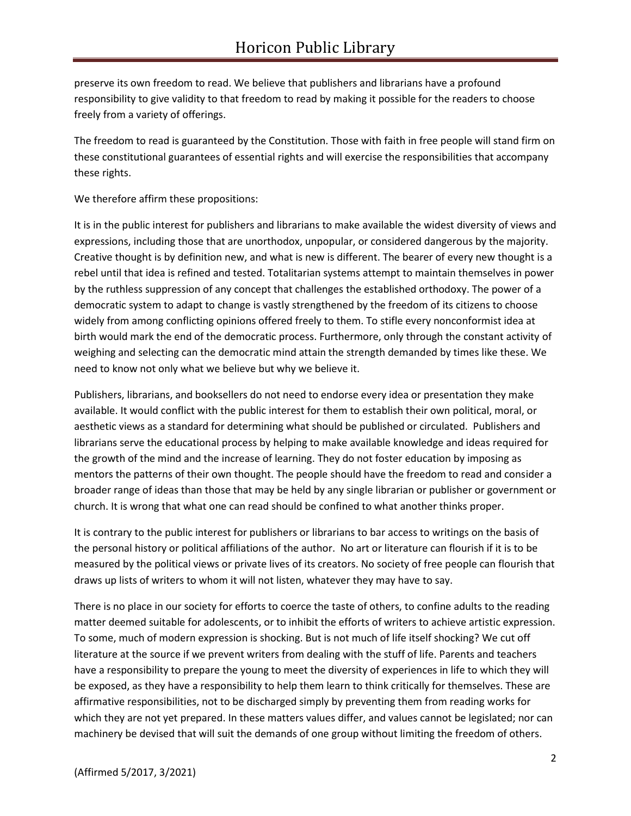preserve its own freedom to read. We believe that publishers and librarians have a profound responsibility to give validity to that freedom to read by making it possible for the readers to choose freely from a variety of offerings.

The freedom to read is guaranteed by the Constitution. Those with faith in free people will stand firm on these constitutional guarantees of essential rights and will exercise the responsibilities that accompany these rights.

We therefore affirm these propositions:

It is in the public interest for publishers and librarians to make available the widest diversity of views and expressions, including those that are unorthodox, unpopular, or considered dangerous by the majority. Creative thought is by definition new, and what is new is different. The bearer of every new thought is a rebel until that idea is refined and tested. Totalitarian systems attempt to maintain themselves in power by the ruthless suppression of any concept that challenges the established orthodoxy. The power of a democratic system to adapt to change is vastly strengthened by the freedom of its citizens to choose widely from among conflicting opinions offered freely to them. To stifle every nonconformist idea at birth would mark the end of the democratic process. Furthermore, only through the constant activity of weighing and selecting can the democratic mind attain the strength demanded by times like these. We need to know not only what we believe but why we believe it.

Publishers, librarians, and booksellers do not need to endorse every idea or presentation they make available. It would conflict with the public interest for them to establish their own political, moral, or aesthetic views as a standard for determining what should be published or circulated. Publishers and librarians serve the educational process by helping to make available knowledge and ideas required for the growth of the mind and the increase of learning. They do not foster education by imposing as mentors the patterns of their own thought. The people should have the freedom to read and consider a broader range of ideas than those that may be held by any single librarian or publisher or government or church. It is wrong that what one can read should be confined to what another thinks proper.

It is contrary to the public interest for publishers or librarians to bar access to writings on the basis of the personal history or political affiliations of the author. No art or literature can flourish if it is to be measured by the political views or private lives of its creators. No society of free people can flourish that draws up lists of writers to whom it will not listen, whatever they may have to say.

There is no place in our society for efforts to coerce the taste of others, to confine adults to the reading matter deemed suitable for adolescents, or to inhibit the efforts of writers to achieve artistic expression. To some, much of modern expression is shocking. But is not much of life itself shocking? We cut off literature at the source if we prevent writers from dealing with the stuff of life. Parents and teachers have a responsibility to prepare the young to meet the diversity of experiences in life to which they will be exposed, as they have a responsibility to help them learn to think critically for themselves. These are affirmative responsibilities, not to be discharged simply by preventing them from reading works for which they are not yet prepared. In these matters values differ, and values cannot be legislated; nor can machinery be devised that will suit the demands of one group without limiting the freedom of others.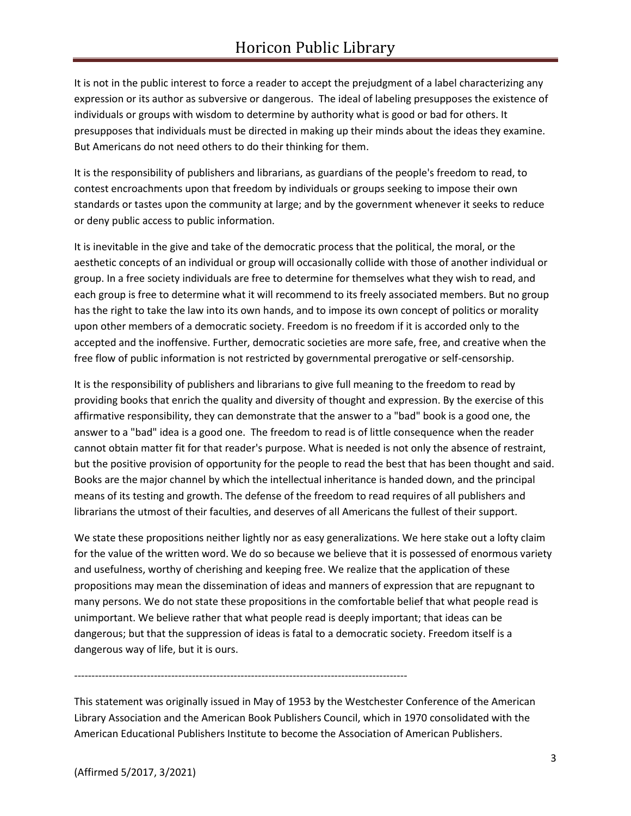It is not in the public interest to force a reader to accept the prejudgment of a label characterizing any expression or its author as subversive or dangerous. The ideal of labeling presupposes the existence of individuals or groups with wisdom to determine by authority what is good or bad for others. It presupposes that individuals must be directed in making up their minds about the ideas they examine. But Americans do not need others to do their thinking for them.

It is the responsibility of publishers and librarians, as guardians of the people's freedom to read, to contest encroachments upon that freedom by individuals or groups seeking to impose their own standards or tastes upon the community at large; and by the government whenever it seeks to reduce or deny public access to public information.

It is inevitable in the give and take of the democratic process that the political, the moral, or the aesthetic concepts of an individual or group will occasionally collide with those of another individual or group. In a free society individuals are free to determine for themselves what they wish to read, and each group is free to determine what it will recommend to its freely associated members. But no group has the right to take the law into its own hands, and to impose its own concept of politics or morality upon other members of a democratic society. Freedom is no freedom if it is accorded only to the accepted and the inoffensive. Further, democratic societies are more safe, free, and creative when the free flow of public information is not restricted by governmental prerogative or self-censorship.

It is the responsibility of publishers and librarians to give full meaning to the freedom to read by providing books that enrich the quality and diversity of thought and expression. By the exercise of this affirmative responsibility, they can demonstrate that the answer to a "bad" book is a good one, the answer to a "bad" idea is a good one. The freedom to read is of little consequence when the reader cannot obtain matter fit for that reader's purpose. What is needed is not only the absence of restraint, but the positive provision of opportunity for the people to read the best that has been thought and said. Books are the major channel by which the intellectual inheritance is handed down, and the principal means of its testing and growth. The defense of the freedom to read requires of all publishers and librarians the utmost of their faculties, and deserves of all Americans the fullest of their support.

We state these propositions neither lightly nor as easy generalizations. We here stake out a lofty claim for the value of the written word. We do so because we believe that it is possessed of enormous variety and usefulness, worthy of cherishing and keeping free. We realize that the application of these propositions may mean the dissemination of ideas and manners of expression that are repugnant to many persons. We do not state these propositions in the comfortable belief that what people read is unimportant. We believe rather that what people read is deeply important; that ideas can be dangerous; but that the suppression of ideas is fatal to a democratic society. Freedom itself is a dangerous way of life, but it is ours.

------------------------------------------------------------------------------------------------

This statement was originally issued in May of 1953 by the Westchester Conference of the American Library Association and the American Book Publishers Council, which in 1970 consolidated with the American Educational Publishers Institute to become the Association of American Publishers.